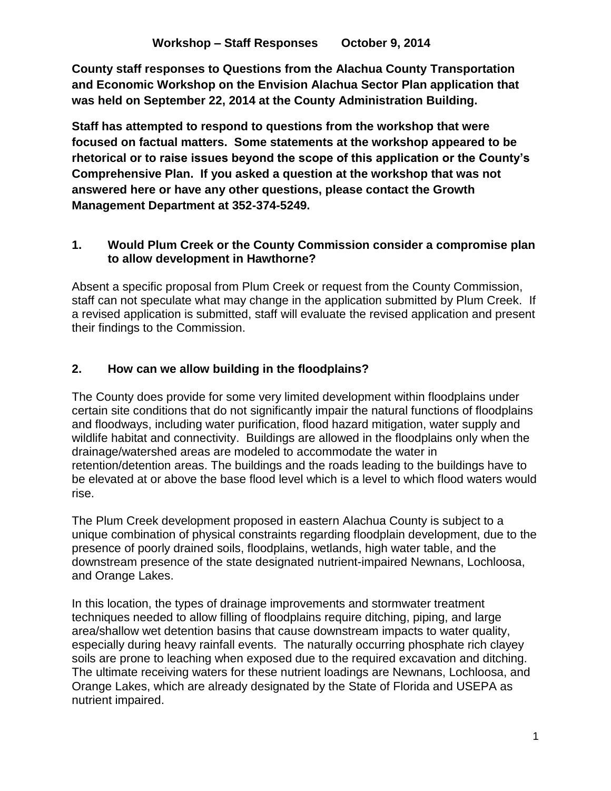**County staff responses to Questions from the Alachua County Transportation and Economic Workshop on the Envision Alachua Sector Plan application that was held on September 22, 2014 at the County Administration Building.**

**Staff has attempted to respond to questions from the workshop that were focused on factual matters. Some statements at the workshop appeared to be rhetorical or to raise issues beyond the scope of this application or the County's Comprehensive Plan. If you asked a question at the workshop that was not answered here or have any other questions, please contact the Growth Management Department at 352-374-5249.**

## **1. Would Plum Creek or the County Commission consider a compromise plan to allow development in Hawthorne?**

Absent a specific proposal from Plum Creek or request from the County Commission, staff can not speculate what may change in the application submitted by Plum Creek. If a revised application is submitted, staff will evaluate the revised application and present their findings to the Commission.

# **2. How can we allow building in the floodplains?**

The County does provide for some very limited development within floodplains under certain site conditions that do not significantly impair the natural functions of floodplains and floodways, including water purification, flood hazard mitigation, water supply and wildlife habitat and connectivity. Buildings are allowed in the floodplains only when the drainage/watershed areas are modeled to accommodate the water in retention/detention areas. The buildings and the roads leading to the buildings have to be elevated at or above the base flood level which is a level to which flood waters would rise.

The Plum Creek development proposed in eastern Alachua County is subject to a unique combination of physical constraints regarding floodplain development, due to the presence of poorly drained soils, floodplains, wetlands, high water table, and the downstream presence of the state designated nutrient-impaired Newnans, Lochloosa, and Orange Lakes.

In this location, the types of drainage improvements and stormwater treatment techniques needed to allow filling of floodplains require ditching, piping, and large area/shallow wet detention basins that cause downstream impacts to water quality, especially during heavy rainfall events. The naturally occurring phosphate rich clayey soils are prone to leaching when exposed due to the required excavation and ditching. The ultimate receiving waters for these nutrient loadings are Newnans, Lochloosa, and Orange Lakes, which are already designated by the State of Florida and USEPA as nutrient impaired.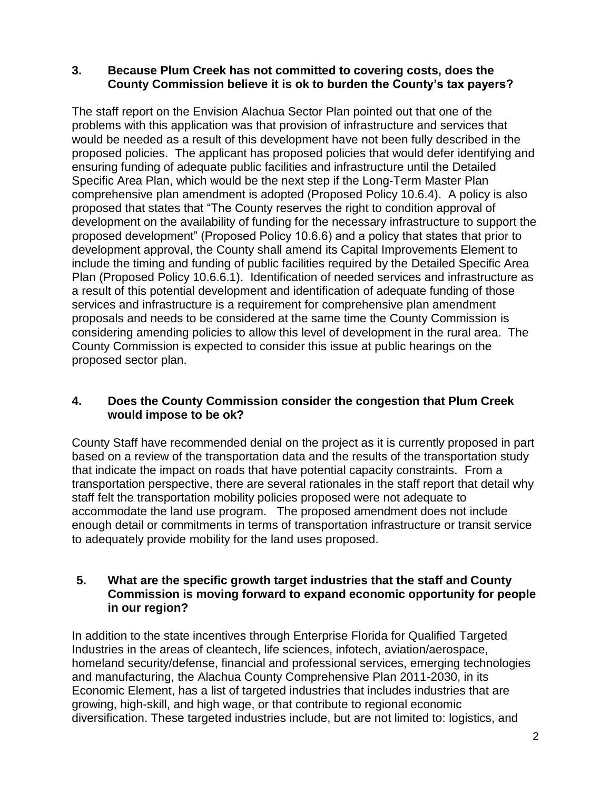### **3. Because Plum Creek has not committed to covering costs, does the County Commission believe it is ok to burden the County's tax payers?**

The staff report on the Envision Alachua Sector Plan pointed out that one of the problems with this application was that provision of infrastructure and services that would be needed as a result of this development have not been fully described in the proposed policies. The applicant has proposed policies that would defer identifying and ensuring funding of adequate public facilities and infrastructure until the Detailed Specific Area Plan, which would be the next step if the Long-Term Master Plan comprehensive plan amendment is adopted (Proposed Policy 10.6.4). A policy is also proposed that states that "The County reserves the right to condition approval of development on the availability of funding for the necessary infrastructure to support the proposed development" (Proposed Policy 10.6.6) and a policy that states that prior to development approval, the County shall amend its Capital Improvements Element to include the timing and funding of public facilities required by the Detailed Specific Area Plan (Proposed Policy 10.6.6.1). Identification of needed services and infrastructure as a result of this potential development and identification of adequate funding of those services and infrastructure is a requirement for comprehensive plan amendment proposals and needs to be considered at the same time the County Commission is considering amending policies to allow this level of development in the rural area. The County Commission is expected to consider this issue at public hearings on the proposed sector plan.

## **4. Does the County Commission consider the congestion that Plum Creek would impose to be ok?**

County Staff have recommended denial on the project as it is currently proposed in part based on a review of the transportation data and the results of the transportation study that indicate the impact on roads that have potential capacity constraints. From a transportation perspective, there are several rationales in the staff report that detail why staff felt the transportation mobility policies proposed were not adequate to accommodate the land use program. The proposed amendment does not include enough detail or commitments in terms of transportation infrastructure or transit service to adequately provide mobility for the land uses proposed.

### **5. What are the specific growth target industries that the staff and County Commission is moving forward to expand economic opportunity for people in our region?**

In addition to the state incentives through Enterprise Florida for Qualified Targeted Industries in the areas of cleantech, life sciences, infotech, aviation/aerospace, homeland security/defense, financial and professional services, emerging technologies and manufacturing, the Alachua County Comprehensive Plan 2011-2030, in its Economic Element, has a list of targeted industries that includes industries that are growing, high-skill, and high wage, or that contribute to regional economic diversification. These targeted industries include, but are not limited to: logistics, and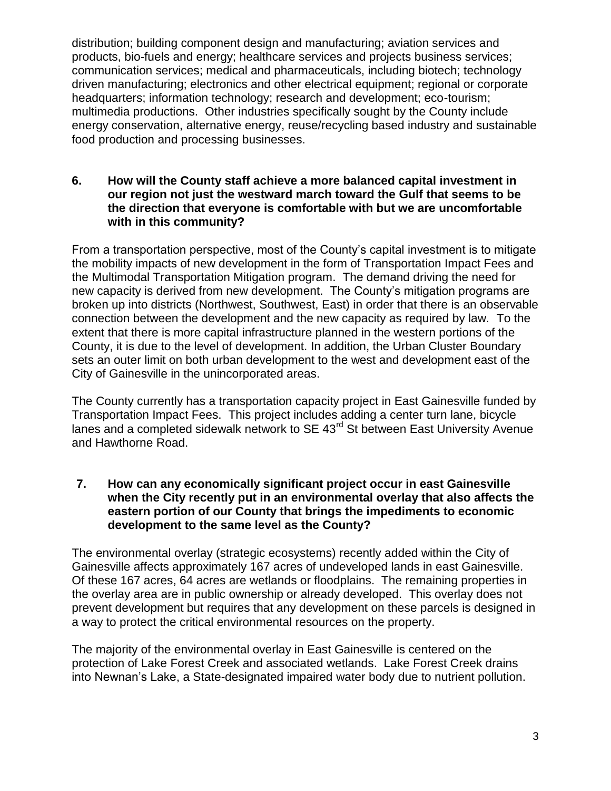distribution; building component design and manufacturing; aviation services and products, bio-fuels and energy; healthcare services and projects business services; communication services; medical and pharmaceuticals, including biotech; technology driven manufacturing; electronics and other electrical equipment; regional or corporate headquarters; information technology; research and development; eco-tourism; multimedia productions. Other industries specifically sought by the County include energy conservation, alternative energy, reuse/recycling based industry and sustainable food production and processing businesses.

#### **6. How will the County staff achieve a more balanced capital investment in our region not just the westward march toward the Gulf that seems to be the direction that everyone is comfortable with but we are uncomfortable with in this community?**

From a transportation perspective, most of the County's capital investment is to mitigate the mobility impacts of new development in the form of Transportation Impact Fees and the Multimodal Transportation Mitigation program. The demand driving the need for new capacity is derived from new development. The County's mitigation programs are broken up into districts (Northwest, Southwest, East) in order that there is an observable connection between the development and the new capacity as required by law. To the extent that there is more capital infrastructure planned in the western portions of the County, it is due to the level of development. In addition, the Urban Cluster Boundary sets an outer limit on both urban development to the west and development east of the City of Gainesville in the unincorporated areas.

The County currently has a transportation capacity project in East Gainesville funded by Transportation Impact Fees. This project includes adding a center turn lane, bicycle lanes and a completed sidewalk network to  $SE$  43 $<sup>rd</sup>$  St between East University Avenue</sup> and Hawthorne Road.

### **7. How can any economically significant project occur in east Gainesville when the City recently put in an environmental overlay that also affects the eastern portion of our County that brings the impediments to economic development to the same level as the County?**

The environmental overlay (strategic ecosystems) recently added within the City of Gainesville affects approximately 167 acres of undeveloped lands in east Gainesville. Of these 167 acres, 64 acres are wetlands or floodplains. The remaining properties in the overlay area are in public ownership or already developed. This overlay does not prevent development but requires that any development on these parcels is designed in a way to protect the critical environmental resources on the property.

The majority of the environmental overlay in East Gainesville is centered on the protection of Lake Forest Creek and associated wetlands. Lake Forest Creek drains into Newnan's Lake, a State-designated impaired water body due to nutrient pollution.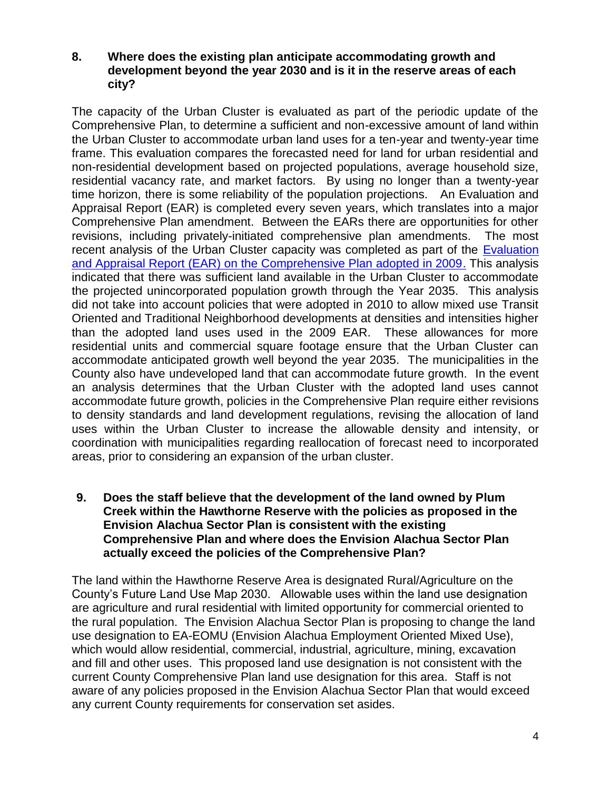### **8. Where does the existing plan anticipate accommodating growth and development beyond the year 2030 and is it in the reserve areas of each city?**

The capacity of the Urban Cluster is evaluated as part of the periodic update of the Comprehensive Plan, to determine a sufficient and non-excessive amount of land within the Urban Cluster to accommodate urban land uses for a ten-year and twenty-year time frame. This evaluation compares the forecasted need for land for urban residential and non-residential development based on projected populations, average household size, residential vacancy rate, and market factors. By using no longer than a twenty-year time horizon, there is some reliability of the population projections. An Evaluation and Appraisal Report (EAR) is completed every seven years, which translates into a major Comprehensive Plan amendment. Between the EARs there are opportunities for other revisions, including privately-initiated comprehensive plan amendments. The most recent analysis of the Urban Cluster capacity was completed as part of the [Evaluation](http://growth-management.alachuacounty.us/comprehensive_planning/comprehensive_plan_update/documents/EAR_Draft_Document_for_8-11-09_BoCC(2).pdf)  [and Appraisal Report \(EAR\) on the Comprehensive Plan adopted in 2009.](http://growth-management.alachuacounty.us/comprehensive_planning/comprehensive_plan_update/documents/EAR_Draft_Document_for_8-11-09_BoCC(2).pdf) This analysis indicated that there was sufficient land available in the Urban Cluster to accommodate the projected unincorporated population growth through the Year 2035. This analysis did not take into account policies that were adopted in 2010 to allow mixed use Transit Oriented and Traditional Neighborhood developments at densities and intensities higher than the adopted land uses used in the 2009 EAR. These allowances for more residential units and commercial square footage ensure that the Urban Cluster can accommodate anticipated growth well beyond the year 2035. The municipalities in the County also have undeveloped land that can accommodate future growth. In the event an analysis determines that the Urban Cluster with the adopted land uses cannot accommodate future growth, policies in the Comprehensive Plan require either revisions to density standards and land development regulations, revising the allocation of land uses within the Urban Cluster to increase the allowable density and intensity, or coordination with municipalities regarding reallocation of forecast need to incorporated areas, prior to considering an expansion of the urban cluster.

### **9. Does the staff believe that the development of the land owned by Plum Creek within the Hawthorne Reserve with the policies as proposed in the Envision Alachua Sector Plan is consistent with the existing Comprehensive Plan and where does the Envision Alachua Sector Plan actually exceed the policies of the Comprehensive Plan?**

The land within the Hawthorne Reserve Area is designated Rural/Agriculture on the County's Future Land Use Map 2030. Allowable uses within the land use designation are agriculture and rural residential with limited opportunity for commercial oriented to the rural population. The Envision Alachua Sector Plan is proposing to change the land use designation to EA-EOMU (Envision Alachua Employment Oriented Mixed Use), which would allow residential, commercial, industrial, agriculture, mining, excavation and fill and other uses. This proposed land use designation is not consistent with the current County Comprehensive Plan land use designation for this area. Staff is not aware of any policies proposed in the Envision Alachua Sector Plan that would exceed any current County requirements for conservation set asides.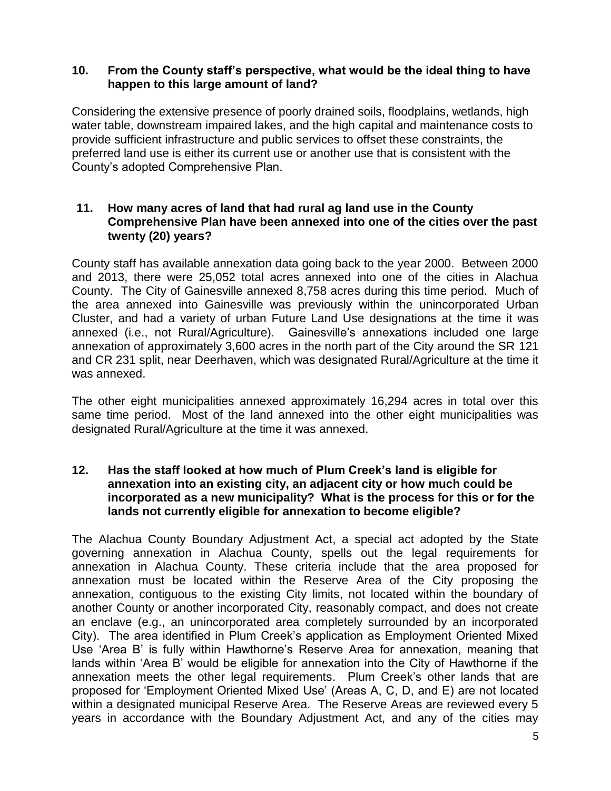#### **10. From the County staff's perspective, what would be the ideal thing to have happen to this large amount of land?**

Considering the extensive presence of poorly drained soils, floodplains, wetlands, high water table, downstream impaired lakes, and the high capital and maintenance costs to provide sufficient infrastructure and public services to offset these constraints, the preferred land use is either its current use or another use that is consistent with the County's adopted Comprehensive Plan.

#### **11. How many acres of land that had rural ag land use in the County Comprehensive Plan have been annexed into one of the cities over the past twenty (20) years?**

County staff has available annexation data going back to the year 2000. Between 2000 and 2013, there were 25,052 total acres annexed into one of the cities in Alachua County. The City of Gainesville annexed 8,758 acres during this time period. Much of the area annexed into Gainesville was previously within the unincorporated Urban Cluster, and had a variety of urban Future Land Use designations at the time it was annexed (i.e., not Rural/Agriculture). Gainesville's annexations included one large annexation of approximately 3,600 acres in the north part of the City around the SR 121 and CR 231 split, near Deerhaven, which was designated Rural/Agriculture at the time it was annexed.

The other eight municipalities annexed approximately 16,294 acres in total over this same time period. Most of the land annexed into the other eight municipalities was designated Rural/Agriculture at the time it was annexed.

### **12. Has the staff looked at how much of Plum Creek's land is eligible for annexation into an existing city, an adjacent city or how much could be incorporated as a new municipality? What is the process for this or for the lands not currently eligible for annexation to become eligible?**

The Alachua County Boundary Adjustment Act, a special act adopted by the State governing annexation in Alachua County, spells out the legal requirements for annexation in Alachua County. These criteria include that the area proposed for annexation must be located within the Reserve Area of the City proposing the annexation, contiguous to the existing City limits, not located within the boundary of another County or another incorporated City, reasonably compact, and does not create an enclave (e.g., an unincorporated area completely surrounded by an incorporated City). The area identified in Plum Creek's application as Employment Oriented Mixed Use 'Area B' is fully within Hawthorne's Reserve Area for annexation, meaning that lands within 'Area B' would be eligible for annexation into the City of Hawthorne if the annexation meets the other legal requirements. Plum Creek's other lands that are proposed for 'Employment Oriented Mixed Use' (Areas A, C, D, and E) are not located within a designated municipal Reserve Area. The Reserve Areas are reviewed every 5 years in accordance with the Boundary Adjustment Act, and any of the cities may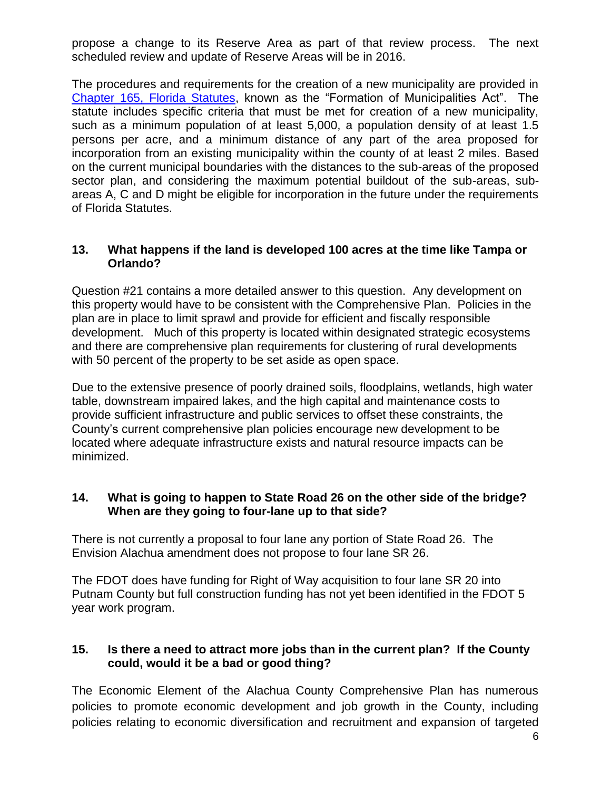propose a change to its Reserve Area as part of that review process. The next scheduled review and update of Reserve Areas will be in 2016.

The procedures and requirements for the creation of a new municipality are provided in [Chapter 165, Florida Statutes,](http://www.leg.state.fl.us/Statutes/index.cfm?App_mode=Display_Statute&URL=0100-0199/0165/0165.html) known as the "Formation of Municipalities Act". The statute includes specific criteria that must be met for creation of a new municipality, such as a minimum population of at least 5,000, a population density of at least 1.5 persons per acre, and a minimum distance of any part of the area proposed for incorporation from an existing municipality within the county of at least 2 miles. Based on the current municipal boundaries with the distances to the sub-areas of the proposed sector plan, and considering the maximum potential buildout of the sub-areas, subareas A, C and D might be eligible for incorporation in the future under the requirements of Florida Statutes.

### **13. What happens if the land is developed 100 acres at the time like Tampa or Orlando?**

Question #21 contains a more detailed answer to this question. Any development on this property would have to be consistent with the Comprehensive Plan. Policies in the plan are in place to limit sprawl and provide for efficient and fiscally responsible development. Much of this property is located within designated strategic ecosystems and there are comprehensive plan requirements for clustering of rural developments with 50 percent of the property to be set aside as open space.

Due to the extensive presence of poorly drained soils, floodplains, wetlands, high water table, downstream impaired lakes, and the high capital and maintenance costs to provide sufficient infrastructure and public services to offset these constraints, the County's current comprehensive plan policies encourage new development to be located where adequate infrastructure exists and natural resource impacts can be minimized.

### **14. What is going to happen to State Road 26 on the other side of the bridge? When are they going to four-lane up to that side?**

There is not currently a proposal to four lane any portion of State Road 26. The Envision Alachua amendment does not propose to four lane SR 26.

The FDOT does have funding for Right of Way acquisition to four lane SR 20 into Putnam County but full construction funding has not yet been identified in the FDOT 5 year work program.

## **15. Is there a need to attract more jobs than in the current plan? If the County could, would it be a bad or good thing?**

The Economic Element of the Alachua County Comprehensive Plan has numerous policies to promote economic development and job growth in the County, including policies relating to economic diversification and recruitment and expansion of targeted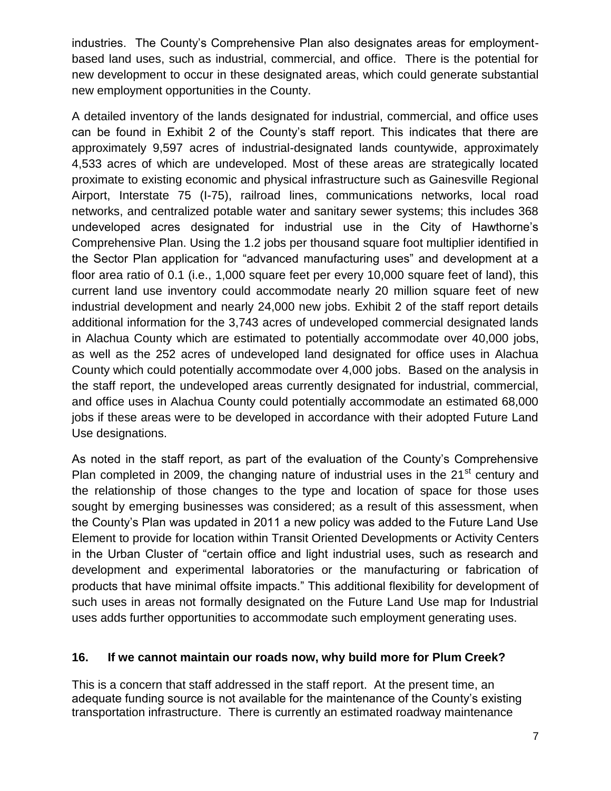industries. The County's Comprehensive Plan also designates areas for employmentbased land uses, such as industrial, commercial, and office. There is the potential for new development to occur in these designated areas, which could generate substantial new employment opportunities in the County.

A detailed inventory of the lands designated for industrial, commercial, and office uses can be found in Exhibit 2 of the County's staff report. This indicates that there are approximately 9,597 acres of industrial-designated lands countywide, approximately 4,533 acres of which are undeveloped. Most of these areas are strategically located proximate to existing economic and physical infrastructure such as Gainesville Regional Airport, Interstate 75 (I-75), railroad lines, communications networks, local road networks, and centralized potable water and sanitary sewer systems; this includes 368 undeveloped acres designated for industrial use in the City of Hawthorne's Comprehensive Plan. Using the 1.2 jobs per thousand square foot multiplier identified in the Sector Plan application for "advanced manufacturing uses" and development at a floor area ratio of 0.1 (i.e., 1,000 square feet per every 10,000 square feet of land), this current land use inventory could accommodate nearly 20 million square feet of new industrial development and nearly 24,000 new jobs. Exhibit 2 of the staff report details additional information for the 3,743 acres of undeveloped commercial designated lands in Alachua County which are estimated to potentially accommodate over 40,000 jobs, as well as the 252 acres of undeveloped land designated for office uses in Alachua County which could potentially accommodate over 4,000 jobs. Based on the analysis in the staff report, the undeveloped areas currently designated for industrial, commercial, and office uses in Alachua County could potentially accommodate an estimated 68,000 jobs if these areas were to be developed in accordance with their adopted Future Land Use designations.

As noted in the staff report, as part of the evaluation of the County's Comprehensive Plan completed in 2009, the changing nature of industrial uses in the 21<sup>st</sup> century and the relationship of those changes to the type and location of space for those uses sought by emerging businesses was considered; as a result of this assessment, when the County's Plan was updated in 2011 a new policy was added to the Future Land Use Element to provide for location within Transit Oriented Developments or Activity Centers in the Urban Cluster of "certain office and light industrial uses, such as research and development and experimental laboratories or the manufacturing or fabrication of products that have minimal offsite impacts." This additional flexibility for development of such uses in areas not formally designated on the Future Land Use map for Industrial uses adds further opportunities to accommodate such employment generating uses.

## **16. If we cannot maintain our roads now, why build more for Plum Creek?**

This is a concern that staff addressed in the staff report. At the present time, an adequate funding source is not available for the maintenance of the County's existing transportation infrastructure. There is currently an estimated roadway maintenance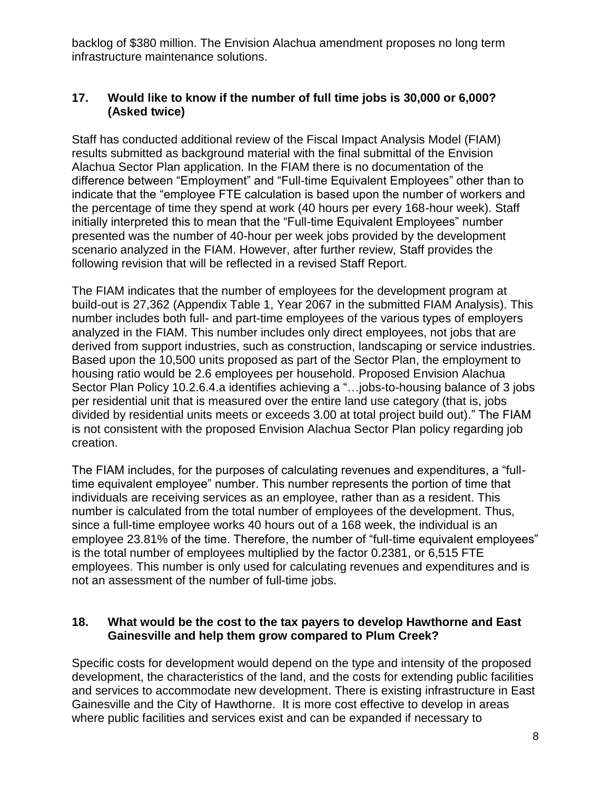backlog of \$380 million. The Envision Alachua amendment proposes no long term infrastructure maintenance solutions.

## **17. Would like to know if the number of full time jobs is 30,000 or 6,000? (Asked twice)**

Staff has conducted additional review of the Fiscal Impact Analysis Model (FIAM) results submitted as background material with the final submittal of the Envision Alachua Sector Plan application. In the FIAM there is no documentation of the difference between "Employment" and "Full-time Equivalent Employees" other than to indicate that the "employee FTE calculation is based upon the number of workers and the percentage of time they spend at work (40 hours per every 168-hour week). Staff initially interpreted this to mean that the "Full-time Equivalent Employees" number presented was the number of 40-hour per week jobs provided by the development scenario analyzed in the FIAM. However, after further review, Staff provides the following revision that will be reflected in a revised Staff Report.

The FIAM indicates that the number of employees for the development program at build-out is 27,362 (Appendix Table 1, Year 2067 in the submitted FIAM Analysis). This number includes both full- and part-time employees of the various types of employers analyzed in the FIAM. This number includes only direct employees, not jobs that are derived from support industries, such as construction, landscaping or service industries. Based upon the 10,500 units proposed as part of the Sector Plan, the employment to housing ratio would be 2.6 employees per household. Proposed Envision Alachua Sector Plan Policy 10.2.6.4.a identifies achieving a "…jobs-to-housing balance of 3 jobs per residential unit that is measured over the entire land use category (that is, jobs divided by residential units meets or exceeds 3.00 at total project build out)." The FIAM is not consistent with the proposed Envision Alachua Sector Plan policy regarding job creation.

The FIAM includes, for the purposes of calculating revenues and expenditures, a "fulltime equivalent employee" number. This number represents the portion of time that individuals are receiving services as an employee, rather than as a resident. This number is calculated from the total number of employees of the development. Thus, since a full-time employee works 40 hours out of a 168 week, the individual is an employee 23.81% of the time. Therefore, the number of "full-time equivalent employees" is the total number of employees multiplied by the factor 0.2381, or 6,515 FTE employees. This number is only used for calculating revenues and expenditures and is not an assessment of the number of full-time jobs.

### **18. What would be the cost to the tax payers to develop Hawthorne and East Gainesville and help them grow compared to Plum Creek?**

Specific costs for development would depend on the type and intensity of the proposed development, the characteristics of the land, and the costs for extending public facilities and services to accommodate new development. There is existing infrastructure in East Gainesville and the City of Hawthorne. It is more cost effective to develop in areas where public facilities and services exist and can be expanded if necessary to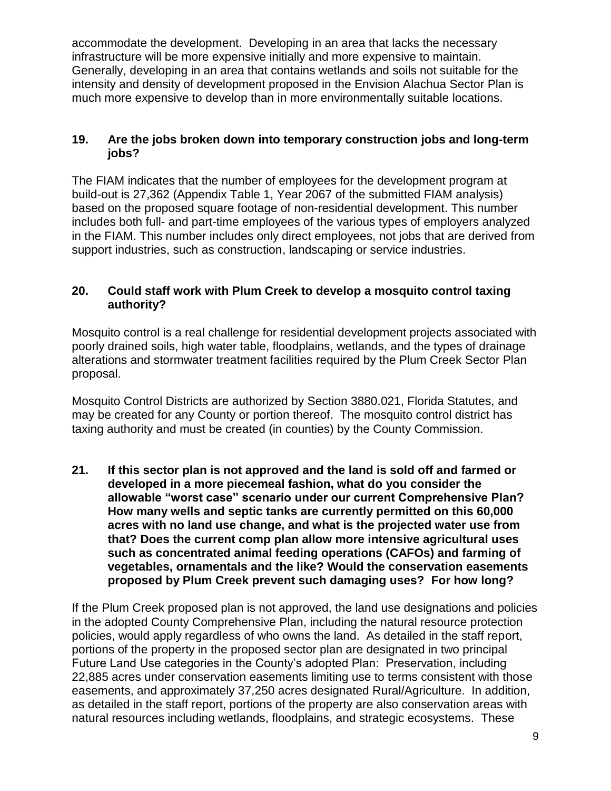accommodate the development. Developing in an area that lacks the necessary infrastructure will be more expensive initially and more expensive to maintain. Generally, developing in an area that contains wetlands and soils not suitable for the intensity and density of development proposed in the Envision Alachua Sector Plan is much more expensive to develop than in more environmentally suitable locations.

## **19. Are the jobs broken down into temporary construction jobs and long-term jobs?**

The FIAM indicates that the number of employees for the development program at build-out is 27,362 (Appendix Table 1, Year 2067 of the submitted FIAM analysis) based on the proposed square footage of non-residential development. This number includes both full- and part-time employees of the various types of employers analyzed in the FIAM. This number includes only direct employees, not jobs that are derived from support industries, such as construction, landscaping or service industries.

## **20. Could staff work with Plum Creek to develop a mosquito control taxing authority?**

Mosquito control is a real challenge for residential development projects associated with poorly drained soils, high water table, floodplains, wetlands, and the types of drainage alterations and stormwater treatment facilities required by the Plum Creek Sector Plan proposal.

Mosquito Control Districts are authorized by Section 3880.021, Florida Statutes, and may be created for any County or portion thereof. The mosquito control district has taxing authority and must be created (in counties) by the County Commission.

**21. If this sector plan is not approved and the land is sold off and farmed or developed in a more piecemeal fashion, what do you consider the allowable "worst case" scenario under our current Comprehensive Plan? How many wells and septic tanks are currently permitted on this 60,000 acres with no land use change, and what is the projected water use from that? Does the current comp plan allow more intensive agricultural uses such as concentrated animal feeding operations (CAFOs) and farming of vegetables, ornamentals and the like? Would the conservation easements proposed by Plum Creek prevent such damaging uses? For how long?**

If the Plum Creek proposed plan is not approved, the land use designations and policies in the adopted County Comprehensive Plan, including the natural resource protection policies, would apply regardless of who owns the land. As detailed in the staff report, portions of the property in the proposed sector plan are designated in two principal Future Land Use categories in the County's adopted Plan: Preservation, including 22,885 acres under conservation easements limiting use to terms consistent with those easements, and approximately 37,250 acres designated Rural/Agriculture. In addition, as detailed in the staff report, portions of the property are also conservation areas with natural resources including wetlands, floodplains, and strategic ecosystems. These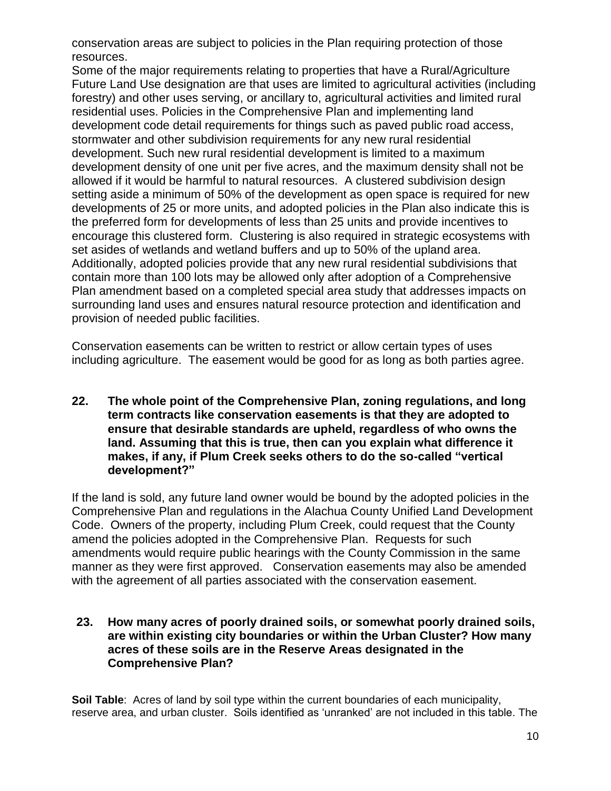conservation areas are subject to policies in the Plan requiring protection of those resources.

Some of the major requirements relating to properties that have a Rural/Agriculture Future Land Use designation are that uses are limited to agricultural activities (including forestry) and other uses serving, or ancillary to, agricultural activities and limited rural residential uses. Policies in the Comprehensive Plan and implementing land development code detail requirements for things such as paved public road access, stormwater and other subdivision requirements for any new rural residential development. Such new rural residential development is limited to a maximum development density of one unit per five acres, and the maximum density shall not be allowed if it would be harmful to natural resources. A clustered subdivision design setting aside a minimum of 50% of the development as open space is required for new developments of 25 or more units, and adopted policies in the Plan also indicate this is the preferred form for developments of less than 25 units and provide incentives to encourage this clustered form. Clustering is also required in strategic ecosystems with set asides of wetlands and wetland buffers and up to 50% of the upland area. Additionally, adopted policies provide that any new rural residential subdivisions that contain more than 100 lots may be allowed only after adoption of a Comprehensive Plan amendment based on a completed special area study that addresses impacts on surrounding land uses and ensures natural resource protection and identification and provision of needed public facilities.

Conservation easements can be written to restrict or allow certain types of uses including agriculture. The easement would be good for as long as both parties agree.

**22. The whole point of the Comprehensive Plan, zoning regulations, and long term contracts like conservation easements is that they are adopted to ensure that desirable standards are upheld, regardless of who owns the land. Assuming that this is true, then can you explain what difference it makes, if any, if Plum Creek seeks others to do the so-called "vertical development?"**

If the land is sold, any future land owner would be bound by the adopted policies in the Comprehensive Plan and regulations in the Alachua County Unified Land Development Code. Owners of the property, including Plum Creek, could request that the County amend the policies adopted in the Comprehensive Plan. Requests for such amendments would require public hearings with the County Commission in the same manner as they were first approved. Conservation easements may also be amended with the agreement of all parties associated with the conservation easement.

**23. How many acres of poorly drained soils, or somewhat poorly drained soils, are within existing city boundaries or within the Urban Cluster? How many acres of these soils are in the Reserve Areas designated in the Comprehensive Plan?**

**Soil Table:** Acres of land by soil type within the current boundaries of each municipality, reserve area, and urban cluster. Soils identified as 'unranked' are not included in this table. The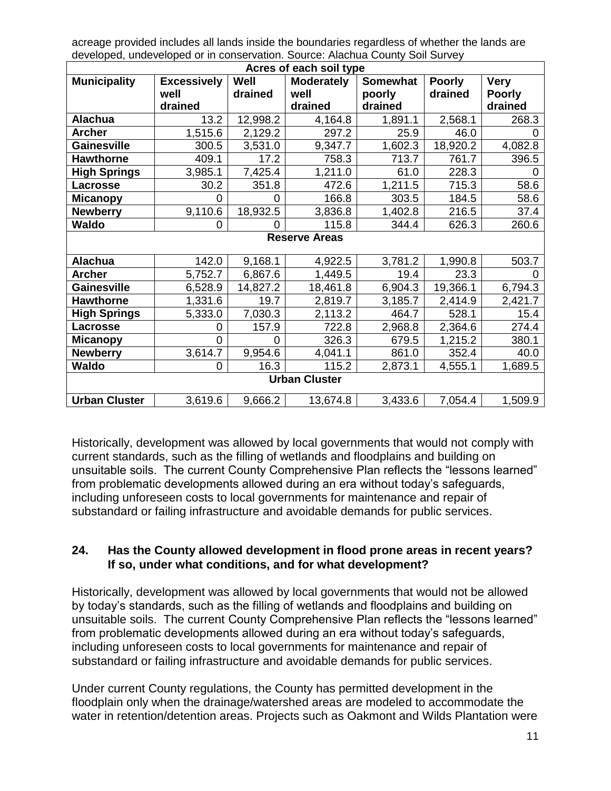acreage provided includes all lands inside the boundaries regardless of whether the lands are developed, undeveloped or in conservation. Source: Alachua County Soil Survey

| Acres of each soil type |                    |          |                   |                 |               |               |
|-------------------------|--------------------|----------|-------------------|-----------------|---------------|---------------|
| <b>Municipality</b>     | <b>Excessively</b> | Well     | <b>Moderately</b> | <b>Somewhat</b> | <b>Poorly</b> | <b>Very</b>   |
|                         | well               | drained  | well              | poorly          | drained       | <b>Poorly</b> |
|                         | drained            |          | drained           | drained         |               | drained       |
| <b>Alachua</b>          | 13.2               | 12,998.2 | 4,164.8           | 1,891.1         | 2,568.1       | 268.3         |
| Archer                  | 1,515.6            | 2,129.2  | 297.2             | 25.9            | 46.0          | ი             |
| <b>Gainesville</b>      | 300.5              | 3,531.0  | 9,347.7           | 1,602.3         | 18,920.2      | 4,082.8       |
| <b>Hawthorne</b>        | 409.1              | 17.2     | 758.3             | 713.7           | 761.7         | 396.5         |
| <b>High Springs</b>     | 3,985.1            | 7,425.4  | 1,211.0           | 61.0            | 228.3         | 0             |
| Lacrosse                | 30.2               | 351.8    | 472.6             | 1,211.5         | 715.3         | 58.6          |
| <b>Micanopy</b>         | 0                  | 0        | 166.8             | 303.5           | 184.5         | 58.6          |
| <b>Newberry</b>         | 9,110.6            | 18,932.5 | 3,836.8           | 1,402.8         | 216.5         | 37.4          |
| Waldo                   | 0                  |          | 115.8             | 344.4           | 626.3         | 260.6         |
| <b>Reserve Areas</b>    |                    |          |                   |                 |               |               |
| <b>Alachua</b>          | 142.0              | 9,168.1  | 4,922.5           | 3,781.2         | 1,990.8       | 503.7         |
| <b>Archer</b>           | 5,752.7            | 6,867.6  | 1,449.5           | 19.4            | 23.3          | 0             |
| <b>Gainesville</b>      | 6,528.9            | 14,827.2 | 18,461.8          | 6,904.3         | 19,366.1      | 6,794.3       |
| <b>Hawthorne</b>        | 1,331.6            | 19.7     | 2,819.7           | 3,185.7         | 2,414.9       | 2,421.7       |
| <b>High Springs</b>     | 5,333.0            | 7,030.3  | 2,113.2           | 464.7           | 528.1         | 15.4          |
| Lacrosse                | 0                  | 157.9    | 722.8             | 2,968.8         | 2,364.6       | 274.4         |
| <b>Micanopy</b>         | 0                  | 0        | 326.3             | 679.5           | 1,215.2       | 380.1         |
| <b>Newberry</b>         | 3,614.7            | 9,954.6  | 4,041.1           | 861.0           | 352.4         | 40.0          |
| <b>Waldo</b>            | 0                  | 16.3     | 115.2             | 2,873.1         | 4,555.1       | 1,689.5       |
| <b>Urban Cluster</b>    |                    |          |                   |                 |               |               |
| <b>Urban Cluster</b>    | 3,619.6            | 9,666.2  | 13,674.8          | 3,433.6         | 7,054.4       | 1,509.9       |

Historically, development was allowed by local governments that would not comply with current standards, such as the filling of wetlands and floodplains and building on unsuitable soils. The current County Comprehensive Plan reflects the "lessons learned" from problematic developments allowed during an era without today's safeguards, including unforeseen costs to local governments for maintenance and repair of substandard or failing infrastructure and avoidable demands for public services.

### **24. Has the County allowed development in flood prone areas in recent years? If so, under what conditions, and for what development?**

Historically, development was allowed by local governments that would not be allowed by today's standards, such as the filling of wetlands and floodplains and building on unsuitable soils. The current County Comprehensive Plan reflects the "lessons learned" from problematic developments allowed during an era without today's safeguards, including unforeseen costs to local governments for maintenance and repair of substandard or failing infrastructure and avoidable demands for public services.

Under current County regulations, the County has permitted development in the floodplain only when the drainage/watershed areas are modeled to accommodate the water in retention/detention areas. Projects such as Oakmont and Wilds Plantation were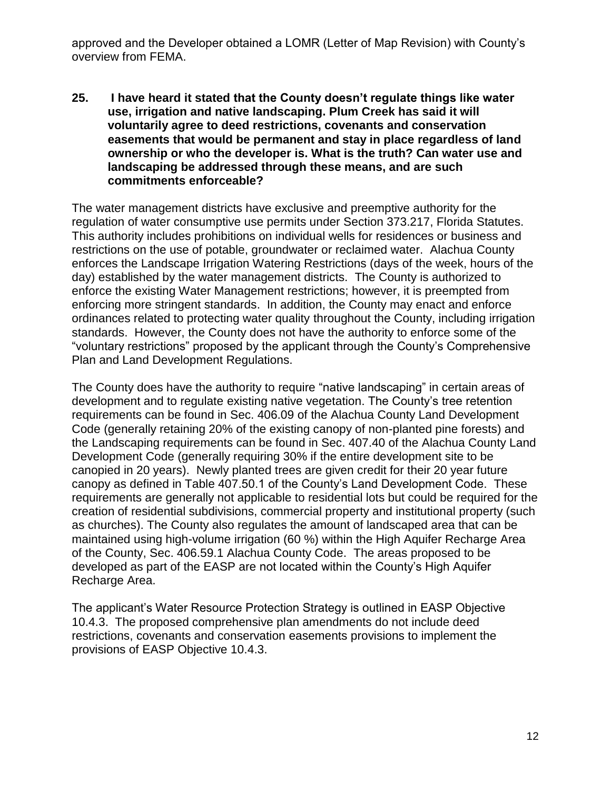approved and the Developer obtained a LOMR (Letter of Map Revision) with County's overview from FEMA.

**25. I have heard it stated that the County doesn't regulate things like water use, irrigation and native landscaping. Plum Creek has said it will voluntarily agree to deed restrictions, covenants and conservation easements that would be permanent and stay in place regardless of land ownership or who the developer is. What is the truth? Can water use and landscaping be addressed through these means, and are such commitments enforceable?**

The water management districts have exclusive and preemptive authority for the regulation of water consumptive use permits under Section 373.217, Florida Statutes. This authority includes prohibitions on individual wells for residences or business and restrictions on the use of potable, groundwater or reclaimed water. Alachua County enforces the Landscape Irrigation Watering Restrictions (days of the week, hours of the day) established by the water management districts. The County is authorized to enforce the existing Water Management restrictions; however, it is preempted from enforcing more stringent standards. In addition, the County may enact and enforce ordinances related to protecting water quality throughout the County, including irrigation standards. However, the County does not have the authority to enforce some of the "voluntary restrictions" proposed by the applicant through the County's Comprehensive Plan and Land Development Regulations.

The County does have the authority to require "native landscaping" in certain areas of development and to regulate existing native vegetation. The County's tree retention requirements can be found in Sec. 406.09 of the Alachua County Land Development Code (generally retaining 20% of the existing canopy of non-planted pine forests) and the Landscaping requirements can be found in Sec. 407.40 of the Alachua County Land Development Code (generally requiring 30% if the entire development site to be canopied in 20 years). Newly planted trees are given credit for their 20 year future canopy as defined in Table 407.50.1 of the County's Land Development Code. These requirements are generally not applicable to residential lots but could be required for the creation of residential subdivisions, commercial property and institutional property (such as churches). The County also regulates the amount of landscaped area that can be maintained using high-volume irrigation (60 %) within the High Aquifer Recharge Area of the County, Sec. 406.59.1 Alachua County Code. The areas proposed to be developed as part of the EASP are not located within the County's High Aquifer Recharge Area.

The applicant's Water Resource Protection Strategy is outlined in EASP Objective 10.4.3. The proposed comprehensive plan amendments do not include deed restrictions, covenants and conservation easements provisions to implement the provisions of EASP Objective 10.4.3.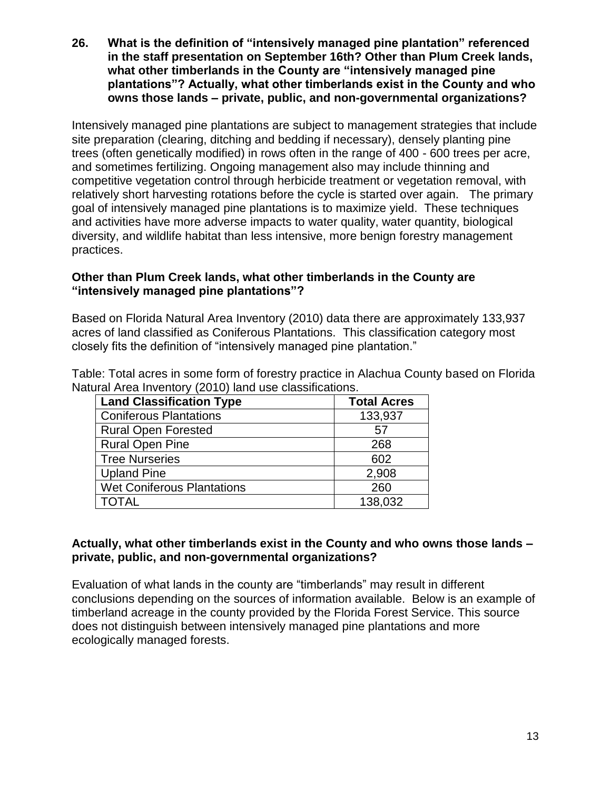**26. What is the definition of "intensively managed pine plantation" referenced in the staff presentation on September 16th? Other than Plum Creek lands, what other timberlands in the County are "intensively managed pine plantations"? Actually, what other timberlands exist in the County and who owns those lands – private, public, and non-governmental organizations?**

Intensively managed pine plantations are subject to management strategies that include site preparation (clearing, ditching and bedding if necessary), densely planting pine trees (often genetically modified) in rows often in the range of 400 - 600 trees per acre, and sometimes fertilizing. Ongoing management also may include thinning and competitive vegetation control through herbicide treatment or vegetation removal, with relatively short harvesting rotations before the cycle is started over again. The primary goal of intensively managed pine plantations is to maximize yield. These techniques and activities have more adverse impacts to water quality, water quantity, biological diversity, and wildlife habitat than less intensive, more benign forestry management practices.

### **Other than Plum Creek lands, what other timberlands in the County are "intensively managed pine plantations"?**

Based on Florida Natural Area Inventory (2010) data there are approximately 133,937 acres of land classified as Coniferous Plantations. This classification category most closely fits the definition of "intensively managed pine plantation."

Table: Total acres in some form of forestry practice in Alachua County based on Florida Natural Area Inventory (2010) land use classifications.

| <b>Land Classification Type</b>   | <b>Total Acres</b> |
|-----------------------------------|--------------------|
| <b>Coniferous Plantations</b>     | 133,937            |
| <b>Rural Open Forested</b>        | 57                 |
| <b>Rural Open Pine</b>            | 268                |
| <b>Tree Nurseries</b>             | 602                |
| <b>Upland Pine</b>                | 2,908              |
| <b>Wet Coniferous Plantations</b> | 260                |
| TOTAL                             | 138,032            |

### **Actually, what other timberlands exist in the County and who owns those lands – private, public, and non-governmental organizations?**

Evaluation of what lands in the county are "timberlands" may result in different conclusions depending on the sources of information available. Below is an example of timberland acreage in the county provided by the Florida Forest Service. This source does not distinguish between intensively managed pine plantations and more ecologically managed forests.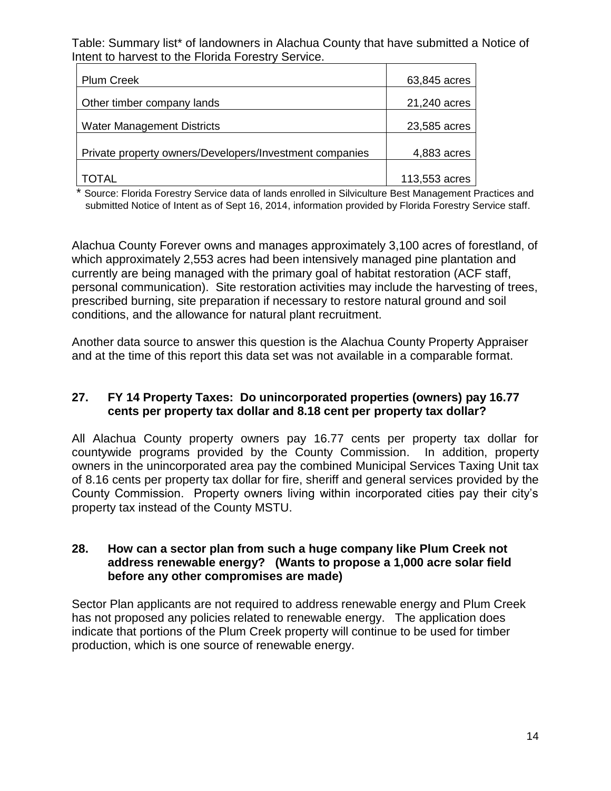Table: Summary list\* of landowners in Alachua County that have submitted a Notice of Intent to harvest to the Florida Forestry Service.

| <b>Plum Creek</b>                                       | 63,845 acres  |
|---------------------------------------------------------|---------------|
| Other timber company lands                              | 21,240 acres  |
| <b>Water Management Districts</b>                       | 23,585 acres  |
| Private property owners/Developers/Investment companies | 4,883 acres   |
|                                                         |               |
| AI.                                                     | 113,553 acres |

\* Source: Florida Forestry Service data of lands enrolled in Silviculture Best Management Practices and submitted Notice of Intent as of Sept 16, 2014, information provided by Florida Forestry Service staff.

Alachua County Forever owns and manages approximately 3,100 acres of forestland, of which approximately 2,553 acres had been intensively managed pine plantation and currently are being managed with the primary goal of habitat restoration (ACF staff, personal communication). Site restoration activities may include the harvesting of trees, prescribed burning, site preparation if necessary to restore natural ground and soil conditions, and the allowance for natural plant recruitment.

Another data source to answer this question is the Alachua County Property Appraiser and at the time of this report this data set was not available in a comparable format.

### **27. FY 14 Property Taxes: Do unincorporated properties (owners) pay 16.77 cents per property tax dollar and 8.18 cent per property tax dollar?**

All Alachua County property owners pay 16.77 cents per property tax dollar for countywide programs provided by the County Commission. In addition, property owners in the unincorporated area pay the combined Municipal Services Taxing Unit tax of 8.16 cents per property tax dollar for fire, sheriff and general services provided by the County Commission. Property owners living within incorporated cities pay their city's property tax instead of the County MSTU.

### **28. How can a sector plan from such a huge company like Plum Creek not address renewable energy? (Wants to propose a 1,000 acre solar field before any other compromises are made)**

Sector Plan applicants are not required to address renewable energy and Plum Creek has not proposed any policies related to renewable energy. The application does indicate that portions of the Plum Creek property will continue to be used for timber production, which is one source of renewable energy.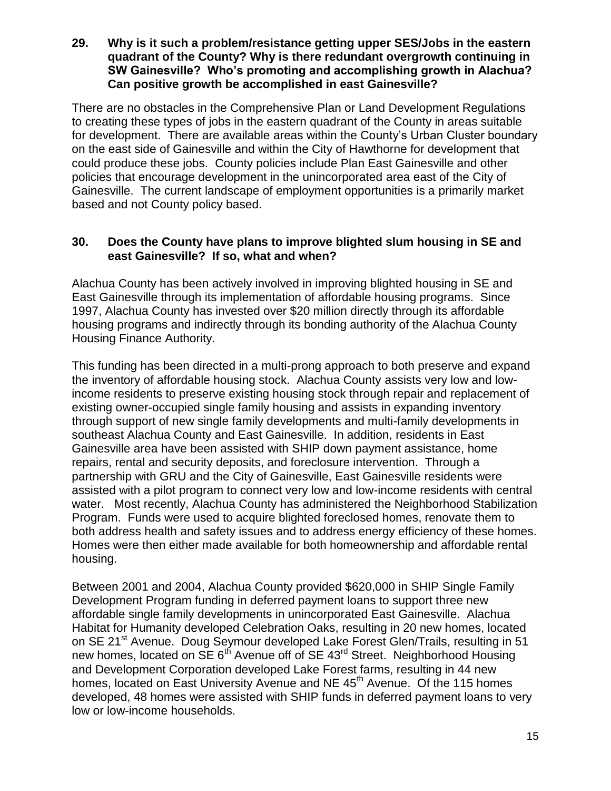**29. Why is it such a problem/resistance getting upper SES/Jobs in the eastern quadrant of the County? Why is there redundant overgrowth continuing in SW Gainesville? Who's promoting and accomplishing growth in Alachua? Can positive growth be accomplished in east Gainesville?**

There are no obstacles in the Comprehensive Plan or Land Development Regulations to creating these types of jobs in the eastern quadrant of the County in areas suitable for development. There are available areas within the County's Urban Cluster boundary on the east side of Gainesville and within the City of Hawthorne for development that could produce these jobs. County policies include Plan East Gainesville and other policies that encourage development in the unincorporated area east of the City of Gainesville. The current landscape of employment opportunities is a primarily market based and not County policy based.

### **30. Does the County have plans to improve blighted slum housing in SE and east Gainesville? If so, what and when?**

Alachua County has been actively involved in improving blighted housing in SE and East Gainesville through its implementation of affordable housing programs. Since 1997, Alachua County has invested over \$20 million directly through its affordable housing programs and indirectly through its bonding authority of the Alachua County Housing Finance Authority.

This funding has been directed in a multi-prong approach to both preserve and expand the inventory of affordable housing stock. Alachua County assists very low and lowincome residents to preserve existing housing stock through repair and replacement of existing owner-occupied single family housing and assists in expanding inventory through support of new single family developments and multi-family developments in southeast Alachua County and East Gainesville. In addition, residents in East Gainesville area have been assisted with SHIP down payment assistance, home repairs, rental and security deposits, and foreclosure intervention. Through a partnership with GRU and the City of Gainesville, East Gainesville residents were assisted with a pilot program to connect very low and low-income residents with central water. Most recently, Alachua County has administered the Neighborhood Stabilization Program. Funds were used to acquire blighted foreclosed homes, renovate them to both address health and safety issues and to address energy efficiency of these homes. Homes were then either made available for both homeownership and affordable rental housing.

Between 2001 and 2004, Alachua County provided \$620,000 in SHIP Single Family Development Program funding in deferred payment loans to support three new affordable single family developments in unincorporated East Gainesville. Alachua Habitat for Humanity developed Celebration Oaks, resulting in 20 new homes, located on SE 21<sup>st</sup> Avenue. Doug Seymour developed Lake Forest Glen/Trails, resulting in 51 new homes, located on SE 6<sup>th</sup> Avenue off of SE 43<sup>rd</sup> Street. Neighborhood Housing and Development Corporation developed Lake Forest farms, resulting in 44 new homes, located on East University Avenue and NE 45<sup>th</sup> Avenue. Of the 115 homes developed, 48 homes were assisted with SHIP funds in deferred payment loans to very low or low-income households.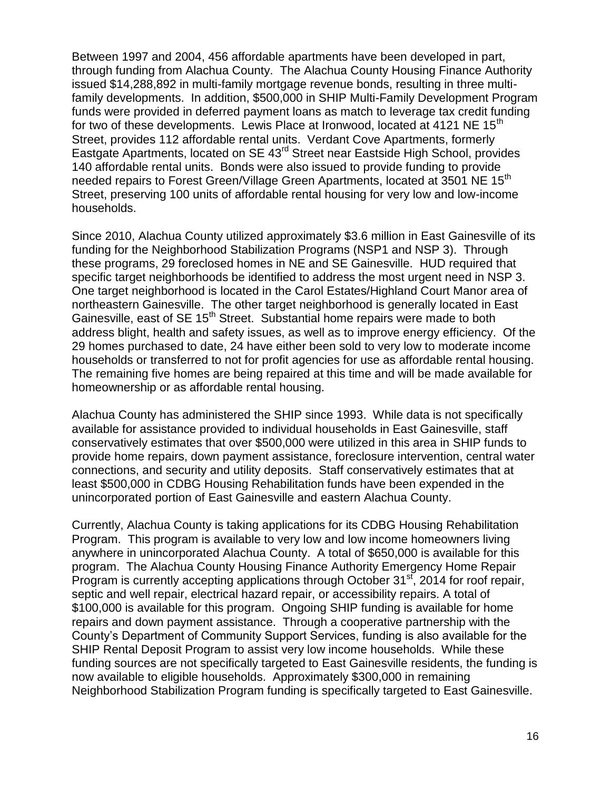Between 1997 and 2004, 456 affordable apartments have been developed in part, through funding from Alachua County. The Alachua County Housing Finance Authority issued \$14,288,892 in multi-family mortgage revenue bonds, resulting in three multifamily developments. In addition, \$500,000 in SHIP Multi-Family Development Program funds were provided in deferred payment loans as match to leverage tax credit funding for two of these developments. Lewis Place at Ironwood, located at 4121 NE  $15<sup>th</sup>$ Street, provides 112 affordable rental units. Verdant Cove Apartments, formerly Eastgate Apartments, located on SE 43rd Street near Eastside High School, provides 140 affordable rental units. Bonds were also issued to provide funding to provide needed repairs to Forest Green/Village Green Apartments, located at 3501 NE 15<sup>th</sup> Street, preserving 100 units of affordable rental housing for very low and low-income households.

Since 2010, Alachua County utilized approximately \$3.6 million in East Gainesville of its funding for the Neighborhood Stabilization Programs (NSP1 and NSP 3). Through these programs, 29 foreclosed homes in NE and SE Gainesville. HUD required that specific target neighborhoods be identified to address the most urgent need in NSP 3. One target neighborhood is located in the Carol Estates/Highland Court Manor area of northeastern Gainesville. The other target neighborhood is generally located in East Gainesville, east of SE 15<sup>th</sup> Street. Substantial home repairs were made to both address blight, health and safety issues, as well as to improve energy efficiency. Of the 29 homes purchased to date, 24 have either been sold to very low to moderate income households or transferred to not for profit agencies for use as affordable rental housing. The remaining five homes are being repaired at this time and will be made available for homeownership or as affordable rental housing.

Alachua County has administered the SHIP since 1993. While data is not specifically available for assistance provided to individual households in East Gainesville, staff conservatively estimates that over \$500,000 were utilized in this area in SHIP funds to provide home repairs, down payment assistance, foreclosure intervention, central water connections, and security and utility deposits. Staff conservatively estimates that at least \$500,000 in CDBG Housing Rehabilitation funds have been expended in the unincorporated portion of East Gainesville and eastern Alachua County.

Currently, Alachua County is taking applications for its CDBG Housing Rehabilitation Program. This program is available to very low and low income homeowners living anywhere in unincorporated Alachua County. A total of \$650,000 is available for this program. The Alachua County Housing Finance Authority Emergency Home Repair Program is currently accepting applications through October  $31<sup>st</sup>$ , 2014 for roof repair, septic and well repair, electrical hazard repair, or accessibility repairs. A total of \$100,000 is available for this program. Ongoing SHIP funding is available for home repairs and down payment assistance. Through a cooperative partnership with the County's Department of Community Support Services, funding is also available for the SHIP Rental Deposit Program to assist very low income households. While these funding sources are not specifically targeted to East Gainesville residents, the funding is now available to eligible households. Approximately \$300,000 in remaining Neighborhood Stabilization Program funding is specifically targeted to East Gainesville.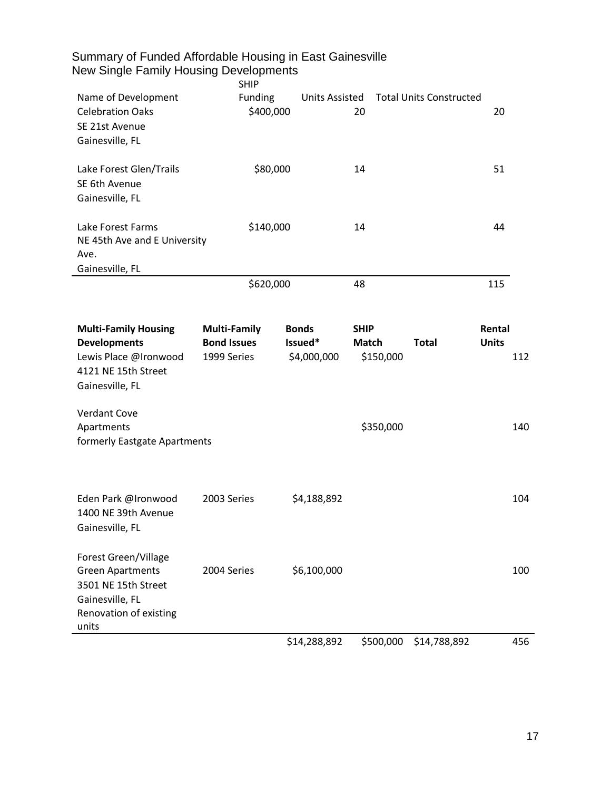| Summary of Funded Affordable Housing in East Gainesville<br>New Single Family Housing Developments                           | <b>SHIP</b>                                              |                                        |                                          |                                |                        |     |
|------------------------------------------------------------------------------------------------------------------------------|----------------------------------------------------------|----------------------------------------|------------------------------------------|--------------------------------|------------------------|-----|
| Name of Development<br><b>Celebration Oaks</b><br>SE 21st Avenue<br>Gainesville, FL                                          | Funding<br>\$400,000                                     | <b>Units Assisted</b>                  | 20                                       | <b>Total Units Constructed</b> | 20                     |     |
| Lake Forest Glen/Trails<br>SE 6th Avenue<br>Gainesville, FL                                                                  | \$80,000                                                 |                                        | 14                                       |                                | 51                     |     |
| Lake Forest Farms<br>NE 45th Ave and E University<br>Ave.<br>Gainesville, FL                                                 | \$140,000                                                |                                        | 14                                       |                                | 44                     |     |
|                                                                                                                              | \$620,000                                                |                                        | 48                                       |                                | 115                    |     |
| <b>Multi-Family Housing</b><br><b>Developments</b><br>Lewis Place @Ironwood<br>4121 NE 15th Street<br>Gainesville, FL        | <b>Multi-Family</b><br><b>Bond Issues</b><br>1999 Series | <b>Bonds</b><br>Issued*<br>\$4,000,000 | <b>SHIP</b><br><b>Match</b><br>\$150,000 | <b>Total</b>                   | Rental<br><b>Units</b> | 112 |
| <b>Verdant Cove</b><br>Apartments<br>formerly Eastgate Apartments                                                            |                                                          |                                        | \$350,000                                |                                |                        | 140 |
| Eden Park @Ironwood<br>1400 NE 39th Avenue<br>Gainesville, FL                                                                | 2003 Series                                              | \$4,188,892                            |                                          |                                |                        | 104 |
| Forest Green/Village<br><b>Green Apartments</b><br>3501 NE 15th Street<br>Gainesville, FL<br>Renovation of existing<br>units | 2004 Series                                              | \$6,100,000                            |                                          |                                |                        | 100 |
|                                                                                                                              |                                                          | \$14,288,892                           | \$500,000                                | \$14,788,892                   |                        | 456 |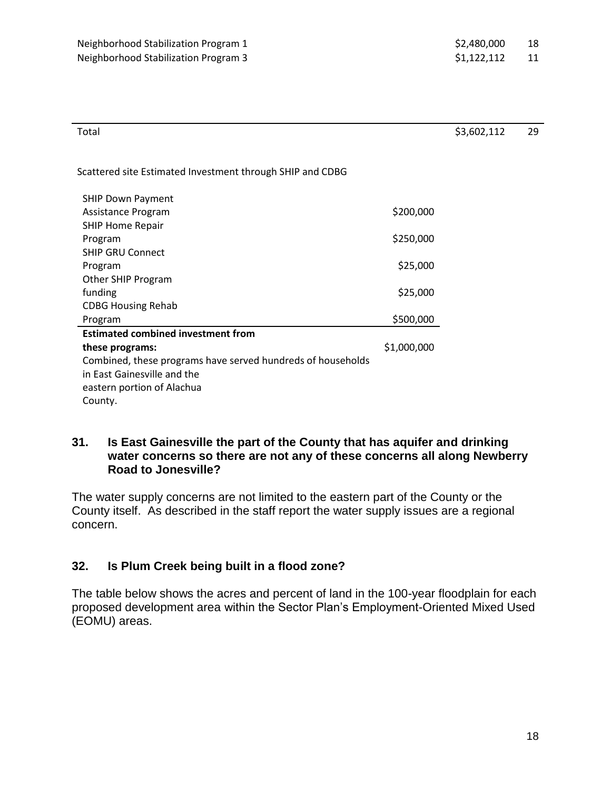| Total | \$3,602,112 | 29 |
|-------|-------------|----|
|       |             |    |

Scattered site Estimated Investment through SHIP and CDBG

| <b>SHIP Down Payment</b>                                    |             |
|-------------------------------------------------------------|-------------|
| Assistance Program                                          | \$200,000   |
| <b>SHIP Home Repair</b>                                     |             |
| Program                                                     | \$250,000   |
| <b>SHIP GRU Connect</b>                                     |             |
| Program                                                     | \$25,000    |
| Other SHIP Program                                          |             |
| funding                                                     | \$25,000    |
| <b>CDBG Housing Rehab</b>                                   |             |
| Program                                                     | \$500,000   |
| <b>Estimated combined investment from</b>                   |             |
| these programs:                                             | \$1,000,000 |
| Combined, these programs have served hundreds of households |             |
| in East Gainesville and the                                 |             |
| eastern portion of Alachua                                  |             |
| County.                                                     |             |

#### **31. Is East Gainesville the part of the County that has aquifer and drinking water concerns so there are not any of these concerns all along Newberry Road to Jonesville?**

The water supply concerns are not limited to the eastern part of the County or the County itself. As described in the staff report the water supply issues are a regional concern.

## **32. Is Plum Creek being built in a flood zone?**

The table below shows the acres and percent of land in the 100-year floodplain for each proposed development area within the Sector Plan's Employment-Oriented Mixed Used (EOMU) areas.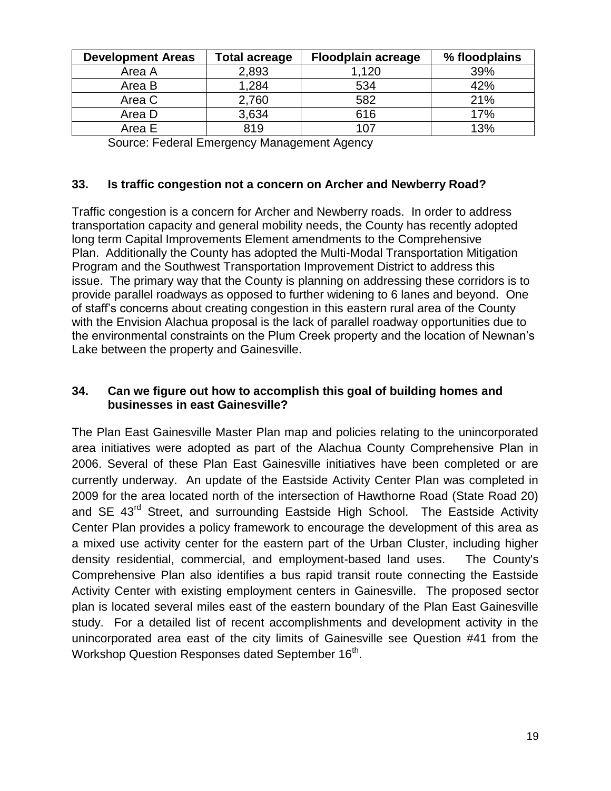| <b>Development Areas</b> | <b>Total acreage</b> | <b>Floodplain acreage</b> | % floodplains |
|--------------------------|----------------------|---------------------------|---------------|
| Area A                   | 2,893                | 1,120                     | 39%           |
| Area B                   | 1,284                | 534                       | 42%           |
| Area C                   | 2,760                | 582                       | 21%           |
| Area D                   | 3,634                | 616                       | 17%           |
| Area E                   | 819                  | 107                       | 13%           |

Source: Federal Emergency Management Agency

### **33. Is traffic congestion not a concern on Archer and Newberry Road?**

Traffic congestion is a concern for Archer and Newberry roads. In order to address transportation capacity and general mobility needs, the County has recently adopted long term Capital Improvements Element amendments to the Comprehensive Plan. Additionally the County has adopted the Multi-Modal Transportation Mitigation Program and the Southwest Transportation Improvement District to address this issue. The primary way that the County is planning on addressing these corridors is to provide parallel roadways as opposed to further widening to 6 lanes and beyond. One of staff's concerns about creating congestion in this eastern rural area of the County with the Envision Alachua proposal is the lack of parallel roadway opportunities due to the environmental constraints on the Plum Creek property and the location of Newnan's Lake between the property and Gainesville.

### **34. Can we figure out how to accomplish this goal of building homes and businesses in east Gainesville?**

The Plan East Gainesville Master Plan map and policies relating to the unincorporated area initiatives were adopted as part of the Alachua County Comprehensive Plan in 2006. Several of these Plan East Gainesville initiatives have been completed or are currently underway. An update of the Eastside Activity Center Plan was completed in 2009 for the area located north of the intersection of Hawthorne Road (State Road 20) and SE 43<sup>rd</sup> Street, and surrounding Eastside High School. The Eastside Activity Center Plan provides a policy framework to encourage the development of this area as a mixed use activity center for the eastern part of the Urban Cluster, including higher density residential, commercial, and employment-based land uses. The County's Comprehensive Plan also identifies a bus rapid transit route connecting the Eastside Activity Center with existing employment centers in Gainesville. The proposed sector plan is located several miles east of the eastern boundary of the Plan East Gainesville study. For a detailed list of recent accomplishments and development activity in the unincorporated area east of the city limits of Gainesville see Question #41 from the Workshop Question Responses dated September 16<sup>th</sup>.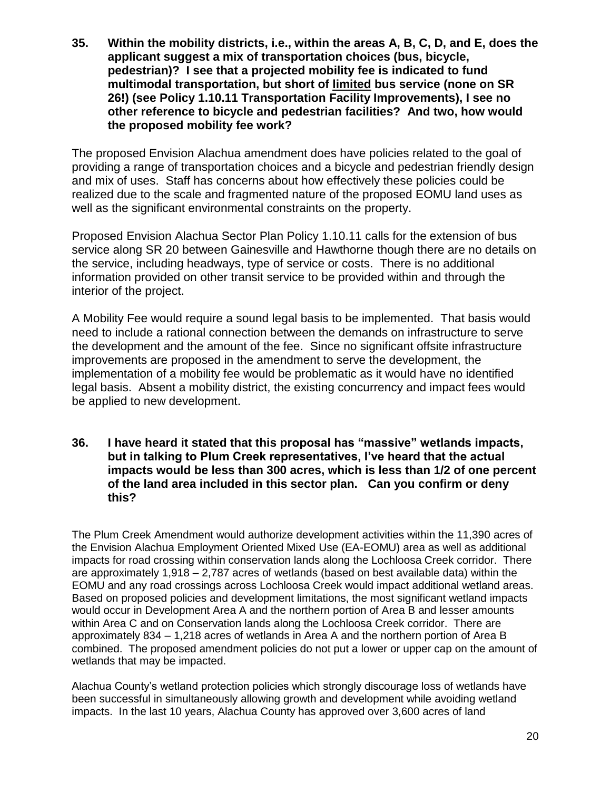**35. Within the mobility districts, i.e., within the areas A, B, C, D, and E, does the applicant suggest a mix of transportation choices (bus, bicycle, pedestrian)? I see that a projected mobility fee is indicated to fund multimodal transportation, but short of limited bus service (none on SR 26!) (see Policy 1.10.11 Transportation Facility Improvements), I see no other reference to bicycle and pedestrian facilities? And two, how would the proposed mobility fee work?**

The proposed Envision Alachua amendment does have policies related to the goal of providing a range of transportation choices and a bicycle and pedestrian friendly design and mix of uses. Staff has concerns about how effectively these policies could be realized due to the scale and fragmented nature of the proposed EOMU land uses as well as the significant environmental constraints on the property.

Proposed Envision Alachua Sector Plan Policy 1.10.11 calls for the extension of bus service along SR 20 between Gainesville and Hawthorne though there are no details on the service, including headways, type of service or costs. There is no additional information provided on other transit service to be provided within and through the interior of the project.

A Mobility Fee would require a sound legal basis to be implemented. That basis would need to include a rational connection between the demands on infrastructure to serve the development and the amount of the fee. Since no significant offsite infrastructure improvements are proposed in the amendment to serve the development, the implementation of a mobility fee would be problematic as it would have no identified legal basis. Absent a mobility district, the existing concurrency and impact fees would be applied to new development.

**36. I have heard it stated that this proposal has "massive" wetlands impacts, but in talking to Plum Creek representatives, I've heard that the actual impacts would be less than 300 acres, which is less than 1/2 of one percent of the land area included in this sector plan. Can you confirm or deny this?**

The Plum Creek Amendment would authorize development activities within the 11,390 acres of the Envision Alachua Employment Oriented Mixed Use (EA-EOMU) area as well as additional impacts for road crossing within conservation lands along the Lochloosa Creek corridor. There are approximately 1,918 – 2,787 acres of wetlands (based on best available data) within the EOMU and any road crossings across Lochloosa Creek would impact additional wetland areas. Based on proposed policies and development limitations, the most significant wetland impacts would occur in Development Area A and the northern portion of Area B and lesser amounts within Area C and on Conservation lands along the Lochloosa Creek corridor. There are approximately 834 – 1,218 acres of wetlands in Area A and the northern portion of Area B combined. The proposed amendment policies do not put a lower or upper cap on the amount of wetlands that may be impacted.

Alachua County's wetland protection policies which strongly discourage loss of wetlands have been successful in simultaneously allowing growth and development while avoiding wetland impacts. In the last 10 years, Alachua County has approved over 3,600 acres of land